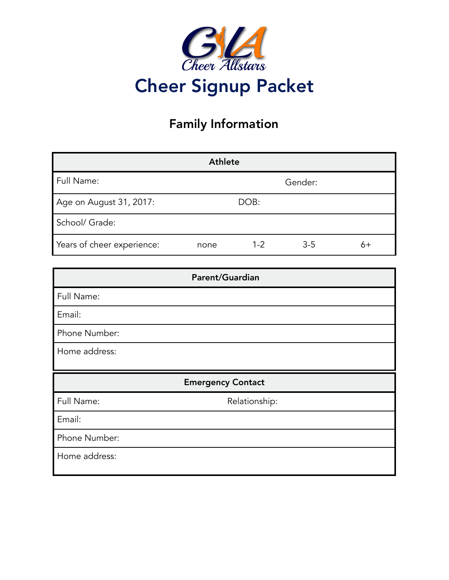

# Family Information

|                            | <b>Athlete</b> |         |         |    |
|----------------------------|----------------|---------|---------|----|
| Full Name:                 |                |         | Gender: |    |
| Age on August 31, 2017:    |                | DOB:    |         |    |
| School/ Grade:             |                |         |         |    |
| Years of cheer experience: | none           | $1 - 2$ | $3 - 5$ | 6+ |

|               | Parent/Guardian          |  |
|---------------|--------------------------|--|
| Full Name:    |                          |  |
| Email:        |                          |  |
| Phone Number: |                          |  |
| Home address: |                          |  |
|               |                          |  |
|               | <b>Emergency Contact</b> |  |
| Full Name:    | Relationship:            |  |
| Email:        |                          |  |
| Phone Number: |                          |  |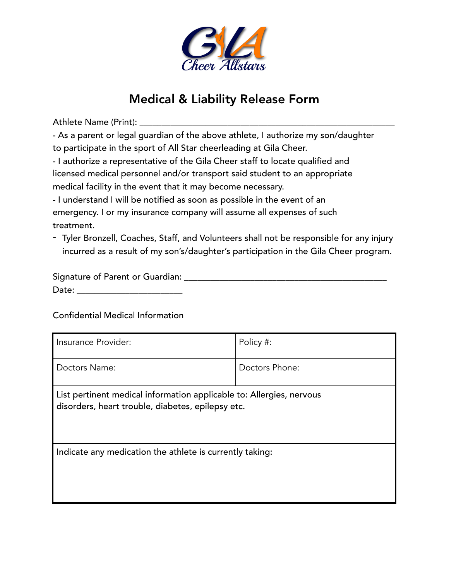

## Medical & Liability Release Form

Athlete Name (Print): \_\_\_\_\_\_\_\_\_\_\_\_\_\_\_\_\_\_\_\_\_\_\_\_\_\_\_\_\_\_\_\_\_\_\_\_\_\_\_\_\_\_\_\_\_\_\_\_\_\_\_\_\_\_\_\_\_\_

- As a parent or legal guardian of the above athlete, I authorize my son/daughter to participate in the sport of All Star cheerleading at Gila Cheer.

- I authorize a representative of the Gila Cheer staff to locate qualified and licensed medical personnel and/or transport said student to an appropriate medical facility in the event that it may become necessary.

- I understand I will be notified as soon as possible in the event of an emergency. I or my insurance company will assume all expenses of such treatment.

- Tyler Bronzell, Coaches, Staff, and Volunteers shall not be responsible for any injury incurred as a result of my son's/daughter's participation in the Gila Cheer program.

| Signature of Parent or Guardian: |  |
|----------------------------------|--|
| Date:                            |  |

Confidential Medical Information

| Insurance Provider:                                                                                                       | Policy #:      |
|---------------------------------------------------------------------------------------------------------------------------|----------------|
| Doctors Name:                                                                                                             | Doctors Phone: |
| List pertinent medical information applicable to: Allergies, nervous<br>disorders, heart trouble, diabetes, epilepsy etc. |                |
| Indicate any medication the athlete is currently taking:                                                                  |                |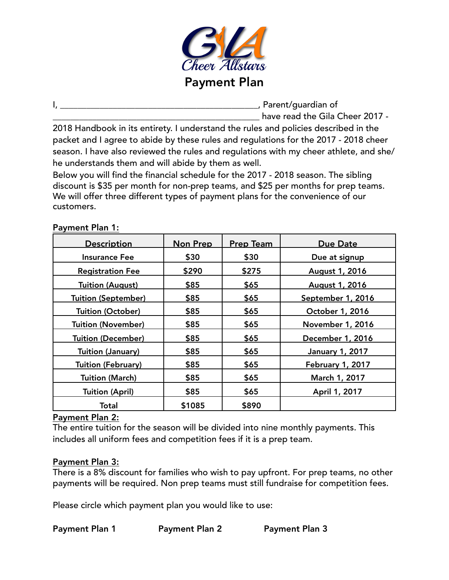

I, \_\_\_\_\_\_\_\_\_\_\_\_\_\_\_\_\_\_\_\_\_\_\_\_\_\_\_\_\_\_\_\_\_\_\_\_\_\_\_\_\_\_\_\_\_, Parent/guardian of \_\_\_\_\_\_\_\_\_\_\_\_\_\_\_\_\_\_\_\_\_\_\_\_\_\_\_\_\_\_\_\_\_\_\_\_\_\_\_\_\_\_\_\_\_\_\_ have read the Gila Cheer 2017 -

2018 Handbook in its entirety. I understand the rules and policies described in the packet and I agree to abide by these rules and regulations for the 2017 - 2018 cheer season. I have also reviewed the rules and regulations with my cheer athlete, and she/ he understands them and will abide by them as well.

Below you will find the financial schedule for the 2017 - 2018 season. The sibling discount is \$35 per month for non-prep teams, and \$25 per months for prep teams. We will offer three different types of payment plans for the convenience of our customers.

### Payment Plan 1:

| <b>Description</b>         | <b>Non Prep</b> | <b>Prep Team</b> | Due Date                |
|----------------------------|-----------------|------------------|-------------------------|
| Insurance Fee              | \$30            | \$30             | Due at signup           |
| <b>Registration Fee</b>    | \$290           | \$275            | August 1, 2016          |
| <b>Tuition (August)</b>    | \$85            | \$65             | <b>August 1, 2016</b>   |
| <b>Tuition (September)</b> | \$85            | \$65             | September 1, 2016       |
| Tuition (October)          | \$85            | \$65             | October 1, 2016         |
| <b>Tuition (November)</b>  | \$85            | \$65             | <b>November 1, 2016</b> |
| <b>Tuition (December)</b>  | \$85            | \$65             | December 1, 2016        |
| <b>Tuition (January)</b>   | \$85            | \$65             | <b>January 1, 2017</b>  |
| <b>Tuition (February)</b>  | \$85            | \$65             | February 1, 2017        |
| <b>Tuition (March)</b>     | \$85            | \$65             | March 1, 2017           |
| Tuition (April)            | \$85            | \$65             | April 1, 2017           |
| Total                      | \$1085          | \$890            |                         |

### Payment Plan 2:

The entire tuition for the season will be divided into nine monthly payments. This includes all uniform fees and competition fees if it is a prep team.

#### Payment Plan 3:

There is a 8% discount for families who wish to pay upfront. For prep teams, no other payments will be required. Non prep teams must still fundraise for competition fees.

Please circle which payment plan you would like to use:

Payment Plan 1 Payment Plan 2 Payment Plan 3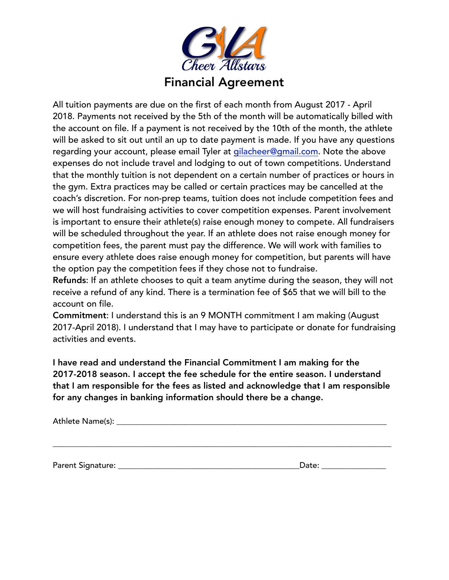

All tuition payments are due on the first of each month from August 2017 - April 2018. Payments not received by the 5th of the month will be automatically billed with the account on file. If a payment is not received by the 10th of the month, the athlete will be asked to sit out until an up to date payment is made. If you have any questions regarding your account, please email Tyler at [gilacheer@gmail.com.](mailto:gilacheer@gmail.com) Note the above expenses do not include travel and lodging to out of town competitions. Understand that the monthly tuition is not dependent on a certain number of practices or hours in the gym. Extra practices may be called or certain practices may be cancelled at the coach's discretion. For non-prep teams, tuition does not include competition fees and we will host fundraising activities to cover competition expenses. Parent involvement is important to ensure their athlete(s) raise enough money to compete. All fundraisers will be scheduled throughout the year. If an athlete does not raise enough money for competition fees, the parent must pay the difference. We will work with families to ensure every athlete does raise enough money for competition, but parents will have the option pay the competition fees if they chose not to fundraise.

Refunds: If an athlete chooses to quit a team anytime during the season, they will not receive a refund of any kind. There is a termination fee of \$65 that we will bill to the account on file.

Commitment: I understand this is an 9 MONTH commitment I am making (August 2017-April 2018). I understand that I may have to participate or donate for fundraising activities and events.

I have read and understand the Financial Commitment I am making for the 2017-2018 season. I accept the fee schedule for the entire season. I understand that I am responsible for the fees as listed and acknowledge that I am responsible for any changes in banking information should there be a change.

\_\_\_\_\_\_\_\_\_\_\_\_\_\_\_\_\_\_\_\_\_\_\_\_\_\_\_\_\_\_\_\_\_\_\_\_\_\_\_\_\_\_\_\_\_\_\_\_\_\_\_\_\_\_\_\_\_\_\_\_\_\_\_\_\_\_\_\_\_\_\_\_\_\_\_\_\_\_\_\_\_\_\_\_

Athlete Name(s): \_\_\_\_\_\_\_\_\_\_\_\_\_\_\_\_\_\_\_\_\_\_\_\_\_\_\_\_\_\_\_\_\_\_\_\_\_\_\_\_\_\_\_\_\_\_\_\_\_\_\_\_\_\_\_\_\_\_\_\_\_\_\_\_\_\_\_

Parent Signature: \_\_\_\_\_\_\_\_\_\_\_\_\_\_\_\_\_\_\_\_\_\_\_\_\_\_\_\_\_\_\_\_\_\_\_\_\_\_\_\_\_\_\_\_\_Date: \_\_\_\_\_\_\_\_\_\_\_\_\_\_\_\_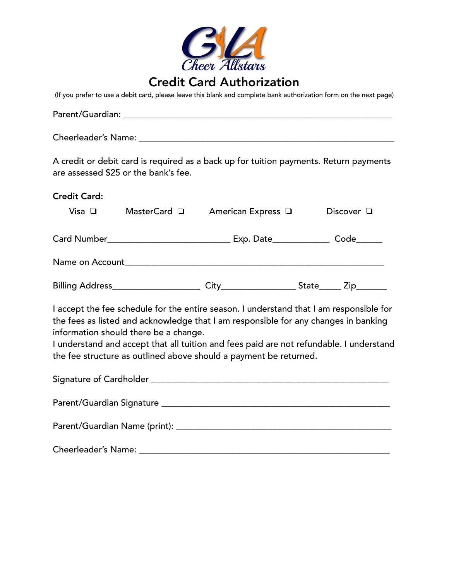

## Credit Card Authorization

(If you prefer to use a debit card, please leave this blank and complete bank authorization form on the next page)

|                     | are assessed \$25 or the bank's fee.  |                                                                                                                                                          | A credit or debit card is required as a back up for tuition payments. Return payments                                                                                              |
|---------------------|---------------------------------------|----------------------------------------------------------------------------------------------------------------------------------------------------------|------------------------------------------------------------------------------------------------------------------------------------------------------------------------------------|
| <b>Credit Card:</b> |                                       |                                                                                                                                                          |                                                                                                                                                                                    |
| Visa $\Box$         |                                       | MasterCard a American Express a                                                                                                                          | Discover $\Box$                                                                                                                                                                    |
|                     |                                       |                                                                                                                                                          |                                                                                                                                                                                    |
|                     |                                       |                                                                                                                                                          |                                                                                                                                                                                    |
|                     |                                       |                                                                                                                                                          |                                                                                                                                                                                    |
|                     | information should there be a change. | the fees as listed and acknowledge that I am responsible for any changes in banking<br>the fee structure as outlined above should a payment be returned. | I accept the fee schedule for the entire season. I understand that I am responsible for<br>I understand and accept that all tuition and fees paid are not refundable. I understand |
|                     |                                       |                                                                                                                                                          |                                                                                                                                                                                    |
|                     |                                       |                                                                                                                                                          |                                                                                                                                                                                    |
|                     |                                       |                                                                                                                                                          |                                                                                                                                                                                    |
|                     |                                       |                                                                                                                                                          |                                                                                                                                                                                    |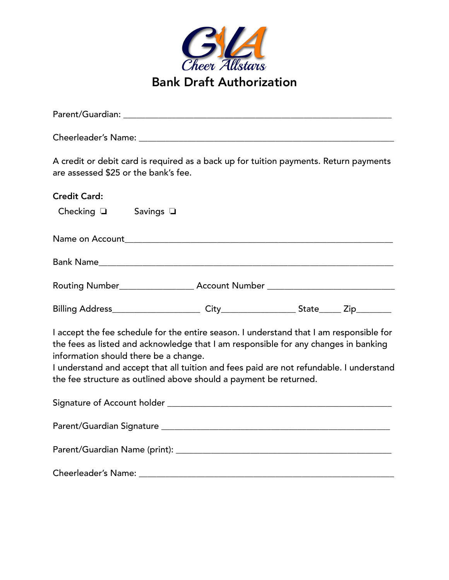

| A credit or debit card is required as a back up for tuition payments. Return payments<br>are assessed \$25 or the bank's fee.                                                                                                                                                                                                                                                           |
|-----------------------------------------------------------------------------------------------------------------------------------------------------------------------------------------------------------------------------------------------------------------------------------------------------------------------------------------------------------------------------------------|
| <b>Credit Card:</b>                                                                                                                                                                                                                                                                                                                                                                     |
| Checking $\square$ Savings $\square$                                                                                                                                                                                                                                                                                                                                                    |
|                                                                                                                                                                                                                                                                                                                                                                                         |
|                                                                                                                                                                                                                                                                                                                                                                                         |
| Routing Number_____________________ Account Number _____________________________                                                                                                                                                                                                                                                                                                        |
|                                                                                                                                                                                                                                                                                                                                                                                         |
| I accept the fee schedule for the entire season. I understand that I am responsible for<br>the fees as listed and acknowledge that I am responsible for any changes in banking<br>information should there be a change.<br>I understand and accept that all tuition and fees paid are not refundable. I understand<br>the fee structure as outlined above should a payment be returned. |
|                                                                                                                                                                                                                                                                                                                                                                                         |
|                                                                                                                                                                                                                                                                                                                                                                                         |
|                                                                                                                                                                                                                                                                                                                                                                                         |
|                                                                                                                                                                                                                                                                                                                                                                                         |